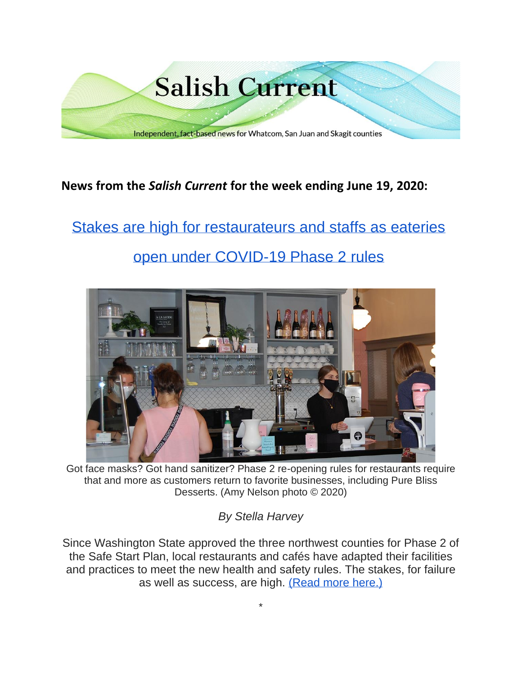

### **News from the** *Salish Current* **for the week ending June 19, 2020:**

# [Stakes are high for restaurateurs and staffs as eateries](https://salish-current.org/2020/06/18/stakes-are-high-for-restaurateurs-and-staffs-as-eateries-open-under-covid-19-phase-2-rules/) [open under COVID-19 Phase 2 rules](https://salish-current.org/2020/06/18/stakes-are-high-for-restaurateurs-and-staffs-as-eateries-open-under-covid-19-phase-2-rules/)



Got face masks? Got hand sanitizer? Phase 2 re-opening rules for restaurants require that and more as customers return to favorite businesses, including Pure Bliss Desserts. (Amy Nelson photo © 2020)

*By Stella Harvey*

Since Washington State approved the three northwest counties for Phase 2 of the Safe Start Plan, local restaurants and cafés have adapted their facilities and practices to meet the new health and safety rules. The stakes, for failure as well as success, are high. [\(Read more here.\)](https://salish-current.org/2020/06/18/stakes-are-high-for-restaurateurs-and-staffs-as-eateries-open-under-covid-19-phase-2-rules/)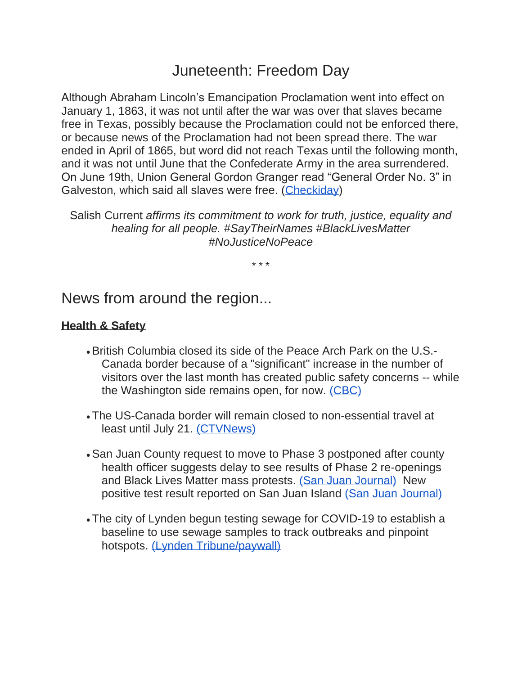## Juneteenth: Freedom Day

Although Abraham Lincoln's Emancipation Proclamation went into effect on January 1, 1863, it was not until after the war was over that slaves became free in Texas, possibly because the Proclamation could not be enforced there, or because news of the Proclamation had not been spread there. The war ended in April of 1865, but word did not reach Texas until the following month, and it was not until June that the Confederate Army in the area surrendered. On June 19th, Union General Gordon Granger read "General Order No. 3" in Galveston, which said all slaves were free. [\(Checkiday\)](https://www.checkiday.com/54794673124184e70aaab802b2a89216/juneteenth)

Salish Current *affirms its commitment to work for truth, justice, equality and healing for all people. #SayTheirNames #BlackLivesMatter #NoJusticeNoPeace*

\* \* \*

News from around the region...

#### **Health & Safety**

- •British Columbia closed its side of the Peace Arch Park on the U.S.- Canada border because of a "significant" increase in the number of visitors over the last month has created public safety concerns -- while the Washington side remains open, for now. [\(CBC\)](https://www.cbc.ca/news/canada/british-columbia/peace-arch-border-park-closed-1.5617582)
- The US-Canada border will remain closed to non-essential travel at least until July 21. [\(CTVNews\)](https://www.ctvnews.ca/health/coronavirus/canada-u-s-border-to-remain-closed-to-non-essential-travel-for-another-month-1.4986310)
- •San Juan County request to move to Phase 3 postponed after county health officer suggests delay to see results of Phase 2 re-openings and Black Lives Matter mass protests. [\(San Juan Journal\)](https://www.sanjuanjournal.com/news/move-to-phase-three-postponed/) New positive test result reported on San Juan Island [\(San Juan Journal\)](https://www.sanjuanjournal.com/news/new-positive-test-result-reported-on-san-juan-island/)
- The city of Lynden begun testing sewage for COVID-19 to establish a baseline to use sewage samples to track outbreaks and pinpoint hotspots. [\(Lynden Tribune/paywall\)](https://www.lyndentribune.com/news/fastest-way-of-knowing-virus-in-the-sewer/article_c8e89af0-b0c1-11ea-8c55-bb0987ab4fda.html)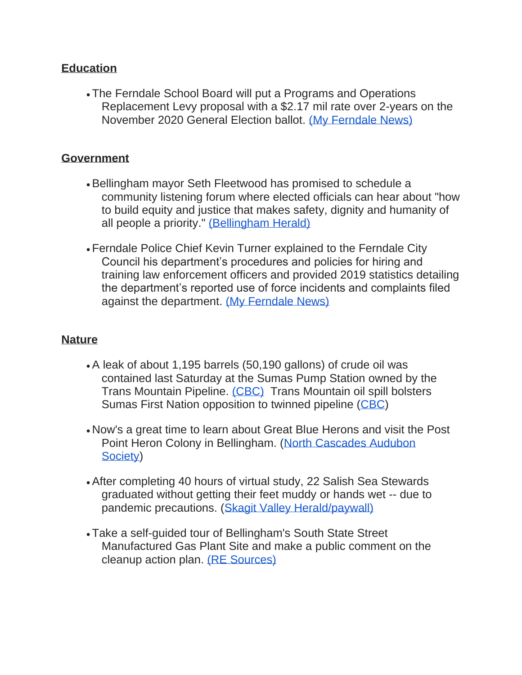#### **Education**

• The Ferndale School Board will put a Programs and Operations Replacement Levy proposal with a \$2.17 mil rate over 2-years on the November 2020 General Election ballot. [\(My Ferndale News\)](https://myferndalenews.com/ferndale-school-board-approves-bringing-voters-new-levy-proposal-in-november_104200/)

#### **Government**

- •Bellingham mayor Seth Fleetwood has promised to schedule a community listening forum where elected officials can hear about "how to build equity and justice that makes safety, dignity and humanity of all people a priority." [\(Bellingham Herald\)](https://www.bellinghamherald.com/news/local/article243607807.html)
- Ferndale Police Chief Kevin Turner explained to the Ferndale City Council his department's procedures and policies for hiring and training law enforcement officers and provided 2019 statistics detailing the department's reported use of force incidents and complaints filed against the department. [\(My Ferndale News\)](https://myferndalenews.com/ferndale-police-chief-presented-2019-use-of-force-complaint-data-to-city-council_104230/)

#### **Nature**

- •A leak of about 1,195 barrels (50,190 gallons) of crude oil was contained last Saturday at the Sumas Pump Station owned by the Trans Mountain Pipeline. [\(CBC\)](https://www.cbc.ca/news/canada/british-columbia/trans-mountain-pipeline-spill-abbotsford-150000-190000-litres-1.5611973) Trans Mountain oil spill bolsters Sumas First Nation opposition to twinned pipeline [\(CBC\)](https://www.cbc.ca/news/indigenous/sumas-first-nation-trans-mountain-spill-1.5613596)
- Now's a great time to learn about Great Blue Herons and visit the Post Point Heron Colony in Bellingham. [\(North Cascades Audubon](https://mailchi.mp/2d4c6f31cbbf/news-from-north-cascades-audubon-society?e=15aceaf1ca)  [Society\)](https://mailchi.mp/2d4c6f31cbbf/news-from-north-cascades-audubon-society?e=15aceaf1ca)
- •After completing 40 hours of virtual study, 22 Salish Sea Stewards graduated without getting their feet muddy or hands wet -- due to pandemic precautions. [\(Skagit Valley Herald/paywall\)](https://www.goskagit.com/news/newest-salish-sea-stewards-at-the-ready-and-waiting/article_f7cdbd08-4d93-59d0-b345-0a3798fd4b2e.html)
- Take a self-guided tour of Bellingham's South State Street Manufactured Gas Plant Site and make a public comment on the cleanup action plan. [\(RE Sources\)](https://www.re-sources.org/2020/06/learn-about-a-state-cleanup-site-at-boulevard-park/)